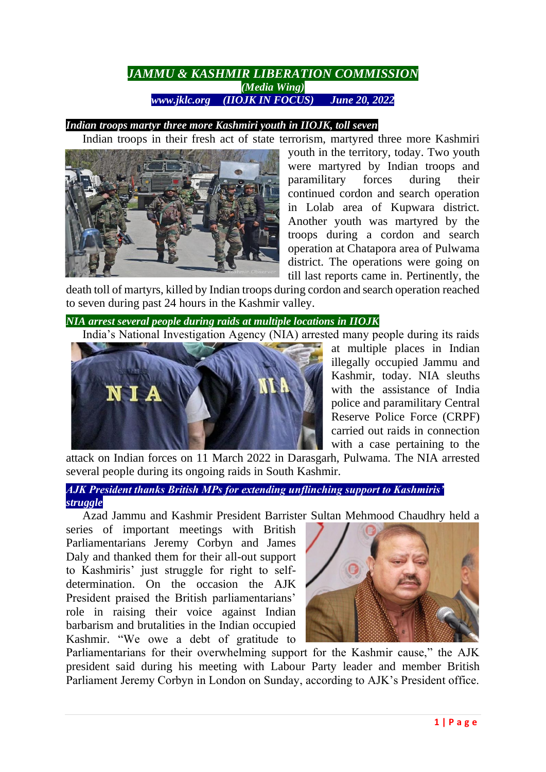# *JAMMU & KASHMIR LIBERATION COMMISSION (Media Wing) www.jklc.org (IIOJK IN FOCUS) June 20, 2022*

## *Indian troops martyr three more Kashmiri youth in IIOJK, toll seven*

Indian troops in their fresh act of state terrorism, martyred three more Kashmiri youth in the territory, today. Two youth were martyred by Indian troops and paramilitary forces during their continued cordon and search operation in Lolab area of Kupwara district. Another youth was martyred by the troops during a cordon and search operation at Chatapora area of Pulwama district. The operations were going on till last reports came in. Pertinently, the

death toll of martyrs, killed by Indian troops during cordon and search operation reached to seven during past 24 hours in the Kashmir valley.

*NIA arrest several people during raids at multiple locations in IIOJK*

India's National Investigation Agency (NIA) arrested many people during its raids



at multiple places in Indian illegally occupied Jammu and Kashmir, today. NIA sleuths with the assistance of India police and paramilitary Central Reserve Police Force (CRPF) carried out raids in connection with a case pertaining to the

attack on Indian forces on 11 March 2022 in Darasgarh, Pulwama. The NIA arrested several people during its ongoing raids in South Kashmir.

## *AJK President thanks British MPs for extending unflinching support to Kashmiris' struggle*

Azad Jammu and Kashmir President Barrister Sultan Mehmood Chaudhry held a

series of important meetings with British Parliamentarians Jeremy Corbyn and James Daly and thanked them for their all-out support to Kashmiris' just struggle for right to selfdetermination. On the occasion the AJK President praised the British parliamentarians' role in raising their voice against Indian barbarism and brutalities in the Indian occupied Kashmir. "We owe a debt of gratitude to



Parliamentarians for their overwhelming support for the Kashmir cause," the AJK president said during his meeting with Labour Party leader and member British Parliament Jeremy Corbyn in London on Sunday, according to AJK's President office.